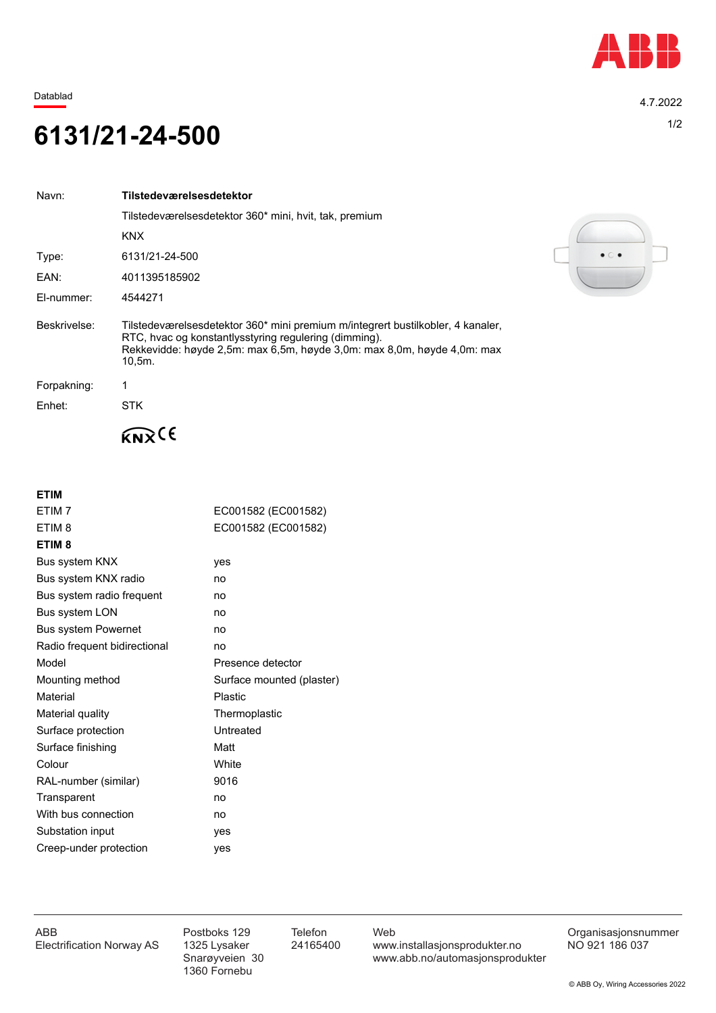

Datablad 4.7.2022

## 1/2 **6131/21-24-500**

| Navn:        | Tilstedeværelsesdetektor                                                                                                                                                                                                         |
|--------------|----------------------------------------------------------------------------------------------------------------------------------------------------------------------------------------------------------------------------------|
|              | Tilstedeværelsesdetektor 360* mini, hvit, tak, premium                                                                                                                                                                           |
|              | <b>KNX</b>                                                                                                                                                                                                                       |
| Type:        | 6131/21-24-500                                                                                                                                                                                                                   |
| EAN:         | 4011395185902                                                                                                                                                                                                                    |
| El-nummer:   | 4544271                                                                                                                                                                                                                          |
| Beskrivelse: | Tilstedeværelsesdetektor 360* mini premium m/integrert bustilkobler, 4 kanaler,<br>RTC, hvac og konstantlysstyring regulering (dimming).<br>Rekkevidde: høyde 2,5m: max 6,5m, høyde 3,0m: max 8,0m, høyde 4,0m: max<br>$10,5m$ . |
| Forpakning:  |                                                                                                                                                                                                                                  |
| Enhet:       | <b>STK</b>                                                                                                                                                                                                                       |
|              |                                                                                                                                                                                                                                  |

**ETIM**

| ETIM <sub>7</sub>            | EC001582 (EC001582)       |
|------------------------------|---------------------------|
| ETIM <sub>8</sub>            | EC001582 (EC001582)       |
| ETIM <sub>8</sub>            |                           |
| Bus system KNX               | yes                       |
| Bus system KNX radio         | no                        |
| Bus system radio frequent    | no                        |
| Bus system LON               | no                        |
| <b>Bus system Powernet</b>   | no                        |
| Radio frequent bidirectional | no                        |
| Model                        | Presence detector         |
| Mounting method              | Surface mounted (plaster) |
| Material                     | <b>Plastic</b>            |
| Material quality             | Thermoplastic             |
| Surface protection           | Untreated                 |
| Surface finishing            | Matt                      |
| Colour                       | White                     |
| RAL-number (similar)         | 9016                      |
| Transparent                  | no                        |
| With bus connection          | no                        |
| Substation input             | yes                       |
| Creep-under protection       | yes                       |
|                              |                           |



1360 Fornebu

ABB Postboks 129 Telefon Web Postboks 129 Telefon Web Crganisasjonsnummer<br>Electrification Norway AS 1325 Lysaker 24165400 www.installasjonsprodukter.no NO 921 186 037 1325 Lysaker 24165400 www.installasjonsprodukter.no<br>Snarøyveien 30 www.abb.no/automasjonsprodu www.abb.no/automasjonsprodukter